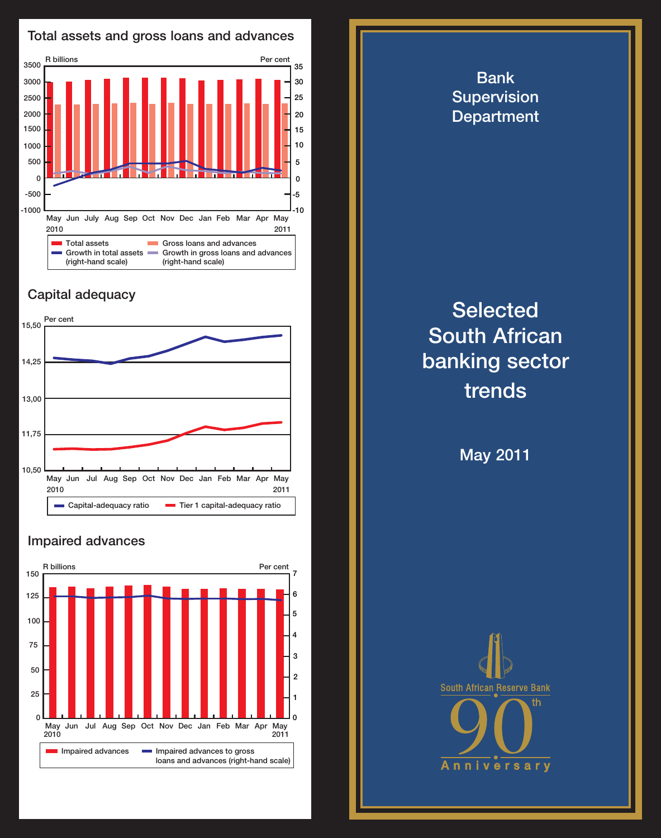

## Capital adequacy



## Impaired advances



**Selected** South African banking sector trends

Bank **Supervision Department** 

May 2011



Total assets and gross loans and advances